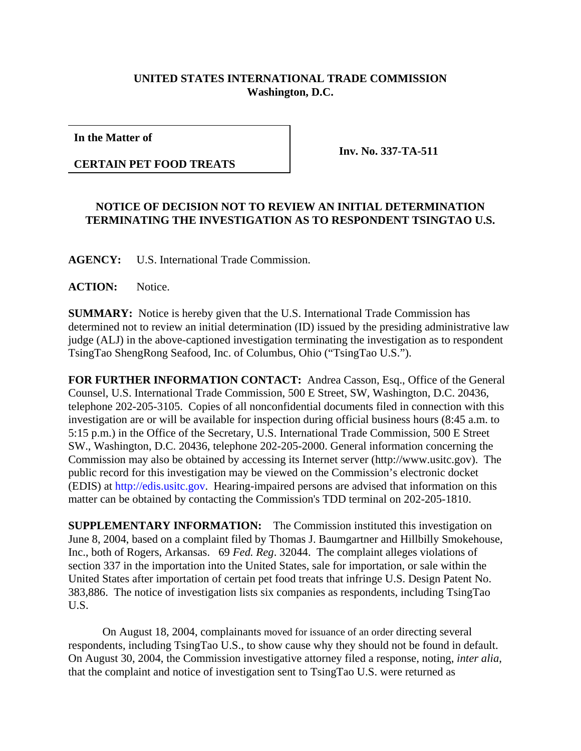## **UNITED STATES INTERNATIONAL TRADE COMMISSION Washington, D.C.**

**In the Matter of**

**CERTAIN PET FOOD TREATS**

**Inv. No. 337-TA-511**

## **NOTICE OF DECISION NOT TO REVIEW AN INITIAL DETERMINATION TERMINATING THE INVESTIGATION AS TO RESPONDENT TSINGTAO U.S.**

**AGENCY:** U.S. International Trade Commission.

**ACTION:** Notice.

**SUMMARY:** Notice is hereby given that the U.S. International Trade Commission has determined not to review an initial determination (ID) issued by the presiding administrative law judge (ALJ) in the above-captioned investigation terminating the investigation as to respondent TsingTao ShengRong Seafood, Inc. of Columbus, Ohio ("TsingTao U.S.").

**FOR FURTHER INFORMATION CONTACT:** Andrea Casson, Esq., Office of the General Counsel, U.S. International Trade Commission, 500 E Street, SW, Washington, D.C. 20436, telephone 202-205-3105. Copies of all nonconfidential documents filed in connection with this investigation are or will be available for inspection during official business hours (8:45 a.m. to 5:15 p.m.) in the Office of the Secretary, U.S. International Trade Commission, 500 E Street SW., Washington, D.C. 20436, telephone 202-205-2000. General information concerning the Commission may also be obtained by accessing its Internet server (http://www.usitc.gov). The public record for this investigation may be viewed on the Commission's electronic docket (EDIS) at http://edis.usitc.gov. Hearing-impaired persons are advised that information on this matter can be obtained by contacting the Commission's TDD terminal on 202-205-1810.

**SUPPLEMENTARY INFORMATION:** The Commission instituted this investigation on June 8, 2004, based on a complaint filed by Thomas J. Baumgartner and Hillbilly Smokehouse, Inc., both of Rogers, Arkansas. 69 *Fed. Reg*. 32044. The complaint alleges violations of section 337 in the importation into the United States, sale for importation, or sale within the United States after importation of certain pet food treats that infringe U.S. Design Patent No. 383,886. The notice of investigation lists six companies as respondents, including TsingTao U.S.

On August 18, 2004, complainants moved for issuance of an order directing several respondents, including TsingTao U.S., to show cause why they should not be found in default. On August 30, 2004, the Commission investigative attorney filed a response, noting, *inter alia*, that the complaint and notice of investigation sent to TsingTao U.S. were returned as